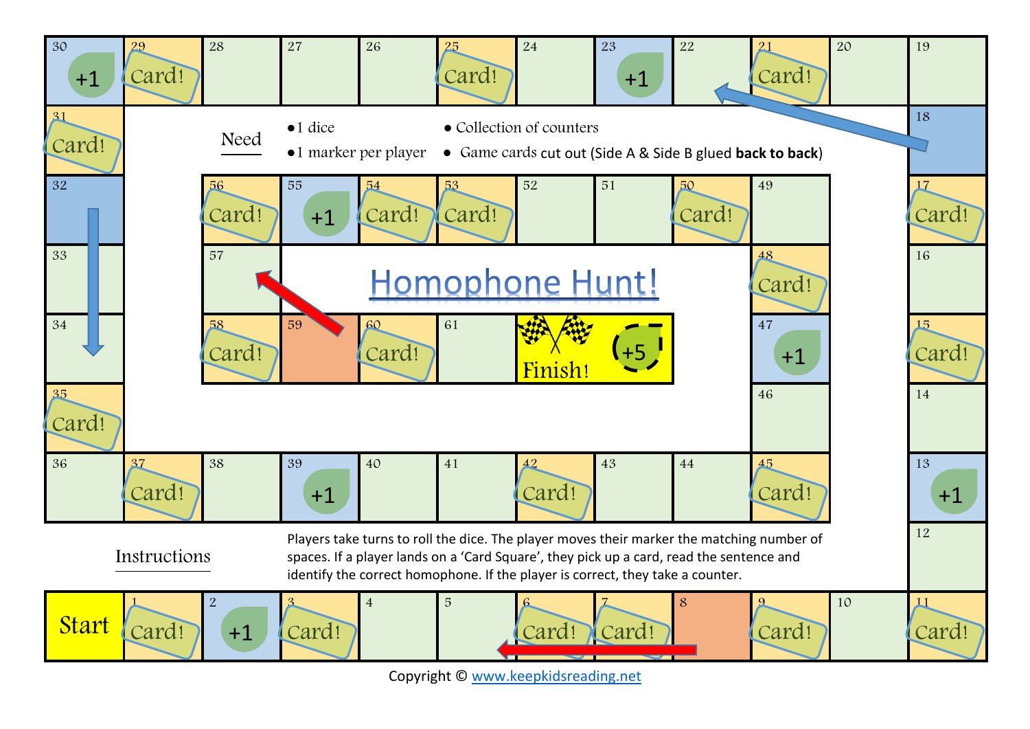

Copyright © [www.keepkidsreading.net](http://www.keepkidsreading.net/)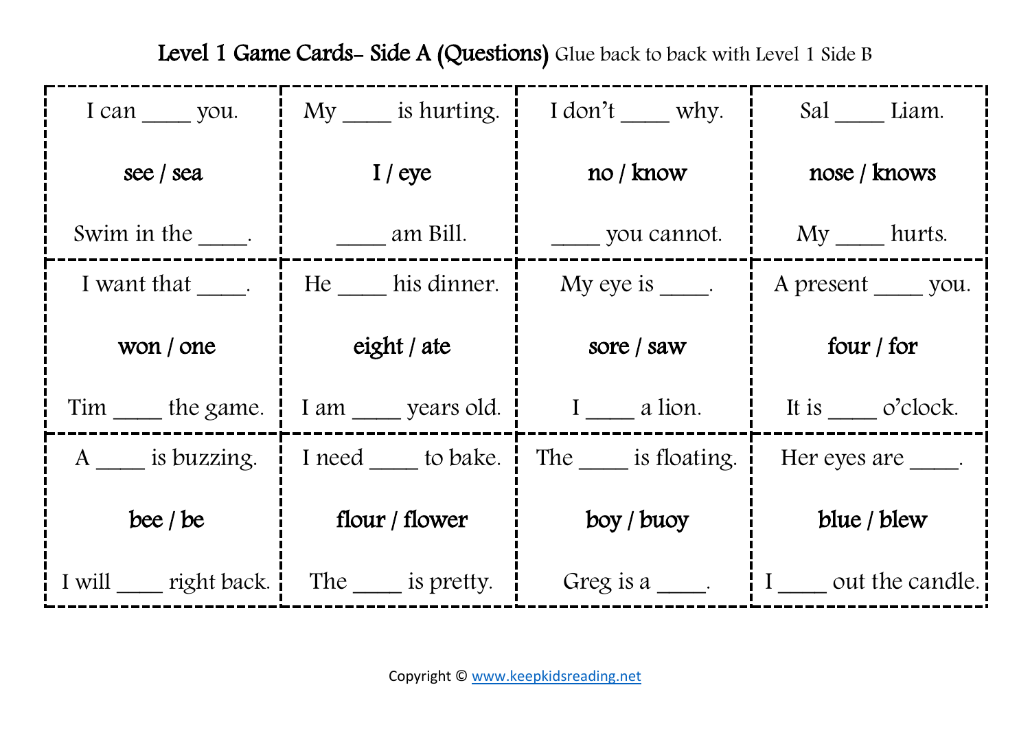| I can you.              | My is hurting.         | I don't ___ why.   | Sal Liam.                |
|-------------------------|------------------------|--------------------|--------------------------|
| see / sea               | $I$ / eye              | no/know            | nose / knows             |
| Swim in the Swim in the | $\frac{1}{2}$ am Bill. | you cannot.        | $My$ hurts.              |
| I want that _____.      | He his dinner.         | My eye is $\_\_$ . | A present _____ you.     |
| won / one               | eight / ate            | sore / saw         | four / for               |
| Tim _____ the game.     | I am years old.        | I a lion.          | It is o'clock.           |
| A is buzzing.           | I need to bake.        | The is floating.   | Her eyes are formulation |
| bee $/$ be              | flour / flower         | boy / buoy         | blue / blew              |
| I will right back.      | The is pretty.         | Greg is a          | I out the candle.        |

Level 1 Game Cards- Side A (Questions) Glue back to back with Level 1 Side B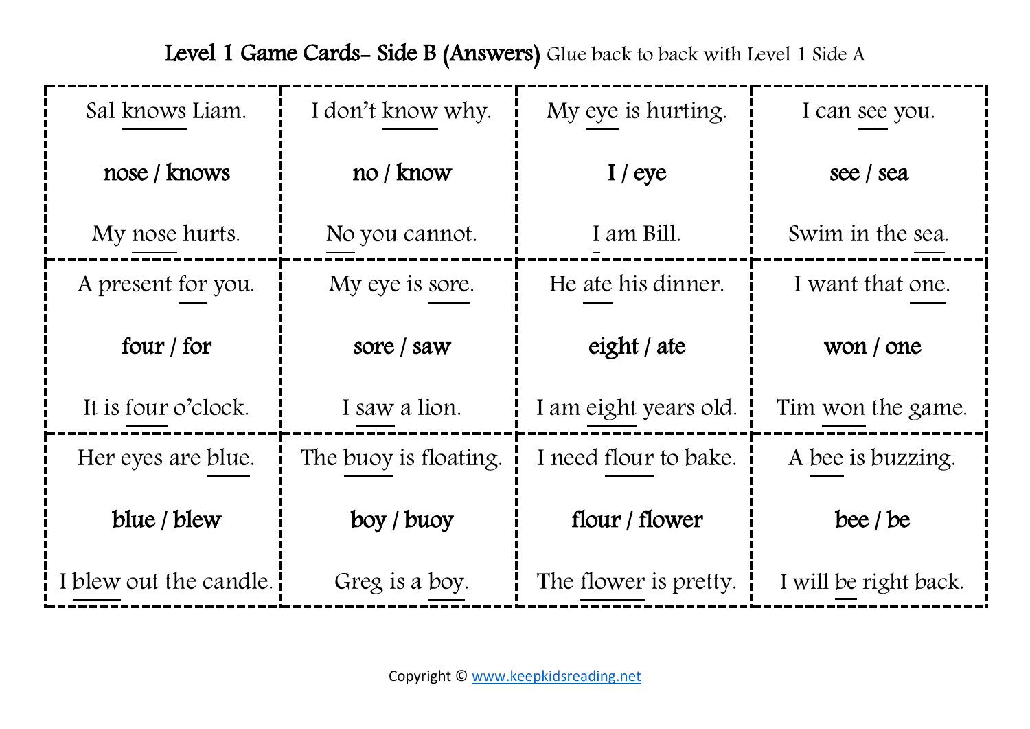| Sal knows Liam.        | I don't know why.     | My eye is hurting.    | I can see you.        |
|------------------------|-----------------------|-----------------------|-----------------------|
| nose / knows           | no / know             | $I$ / eye             | see / sea             |
| My nose hurts.         | No you cannot.        | I am Bill.            | Swim in the sea.      |
| A present for you.     | My eye is sore.       | He ate his dinner.    | I want that one.      |
| four $/$ for           | sore / saw            | eight / ate           | won / one             |
| It is four o'clock.    | I saw a lion.         | I am eight years old. | Tim won the game.     |
| Her eyes are blue.     | The buoy is floating. | I need flour to bake. | A bee is buzzing.     |
| blue / blew            | boy / buoy            | flour / flower        | bee $/$ be            |
| I blew out the candle. | Greg is a boy.        | The flower is pretty. | I will be right back. |

Level 1 Game Cards- Side B (Answers) Glue back to back with Level 1 Side A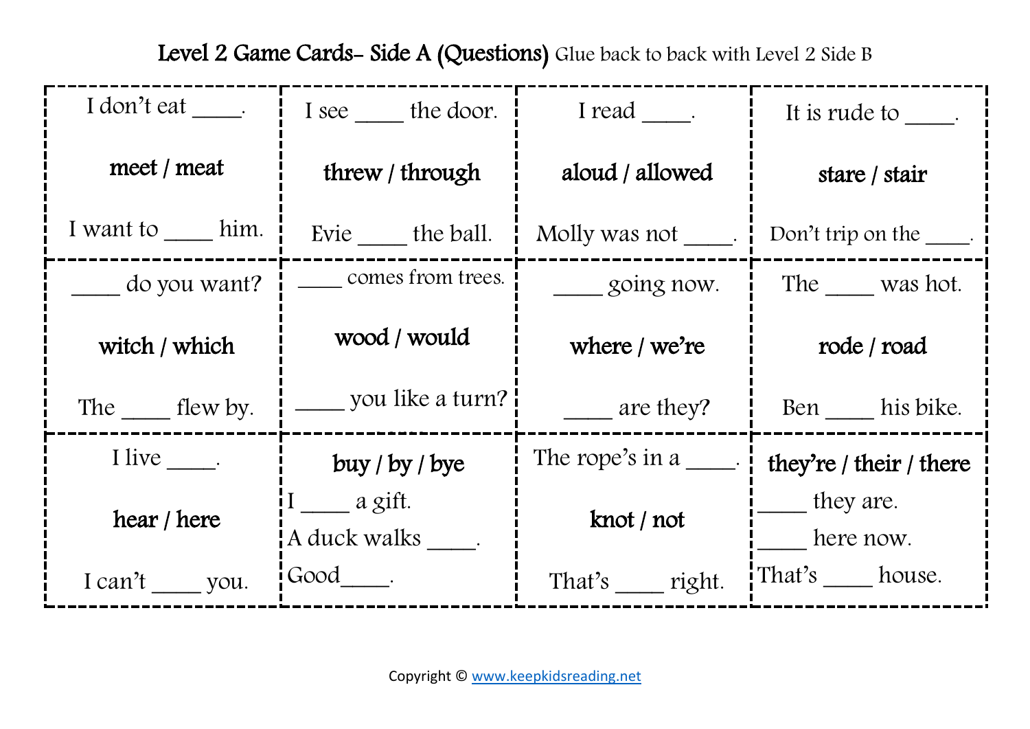| I don't eat _____.     | I see the door.                                               | I read ______.       | It is rude to .               |
|------------------------|---------------------------------------------------------------|----------------------|-------------------------------|
| meet / meat            | threw / through                                               | aloud / allowed      | stare / stair                 |
| I want to him.         | Evie the ball.                                                | Molly was not _____. | Don't trip on the $\_\_\_\$ . |
| do you want?           | comes from trees.                                             | going now.           | The was hot.                  |
| witch / which          | wood / would                                                  | where $/$ we're      | rode / road                   |
| The $\_\_\_\$ flew by. | __ you like a turn? <b> </b>                                  | are they?            | Ben his bike.                 |
| I live $\_\_$ .        | buy / by / byte                                               | The rope's in $a$ .  | they're / their / there       |
| hear / here            | $I_{\underline{\hspace{1cm}}}$ a gift.<br>A duck walks _____. | knot / not           | they are.<br>here now.        |
| I can't you.           | $Good$ .                                                      | That's right.        | That's house.                 |

Level 2 Game Cards- Side A (Questions) Glue back to back with Level 2 Side B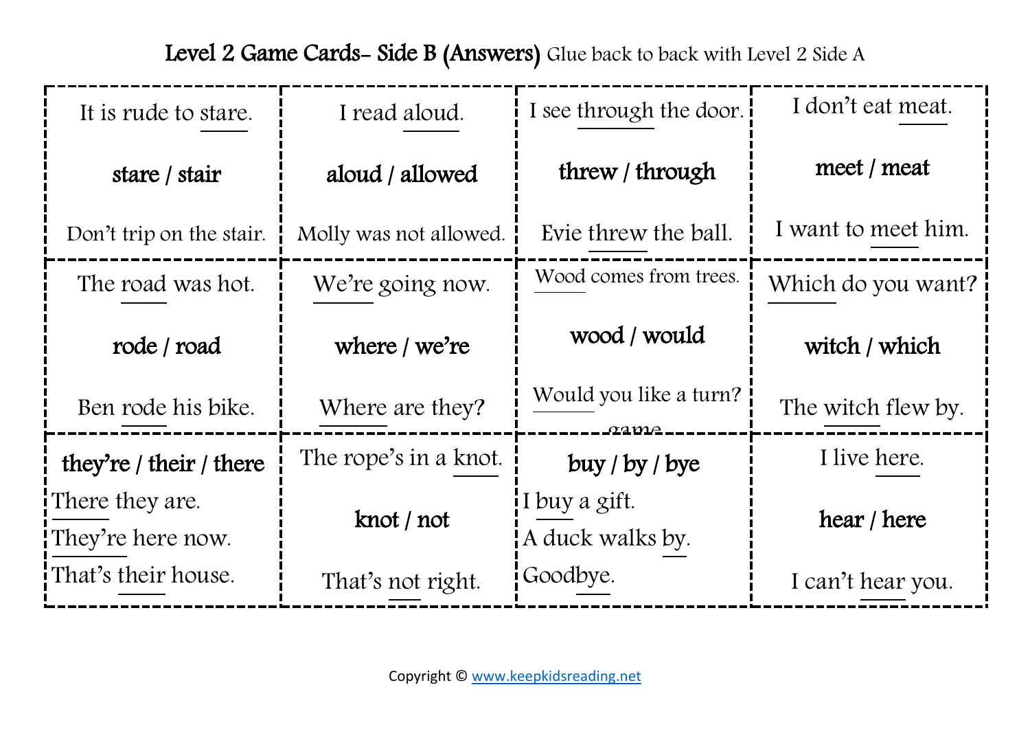| It is rude to stare.                 | I read aloud.          | I see through the door.           | I don't eat meat.   |
|--------------------------------------|------------------------|-----------------------------------|---------------------|
| stare / stair                        | aloud / allowed        | threw / through                   | meet / meat         |
| Don't trip on the stair.             | Molly was not allowed. | Evie threw the ball.              | I want to meet him. |
| The road was hot.                    | We're going now.       | Wood comes from trees.            | Which do you want?  |
| rode / road                          | where $/$ we're        | wood / would                      | witch / which       |
| Ben rode his bike.                   | Where are they?        | Would you like a turn?<br>aame -  | The witch flew by.  |
| they're / their / there              | The rope's in a knot.  | buy / by / byte                   | I live here.        |
| There they are.<br>They're here now. | knot / not             | I buy a gift.<br>A duck walks by. | hear / here         |
| That's their house.                  | That's not right.      | Goodbye.                          | I can't hear you.   |

Level 2 Game Cards- Side B (Answers) Glue back to back with Level 2 Side A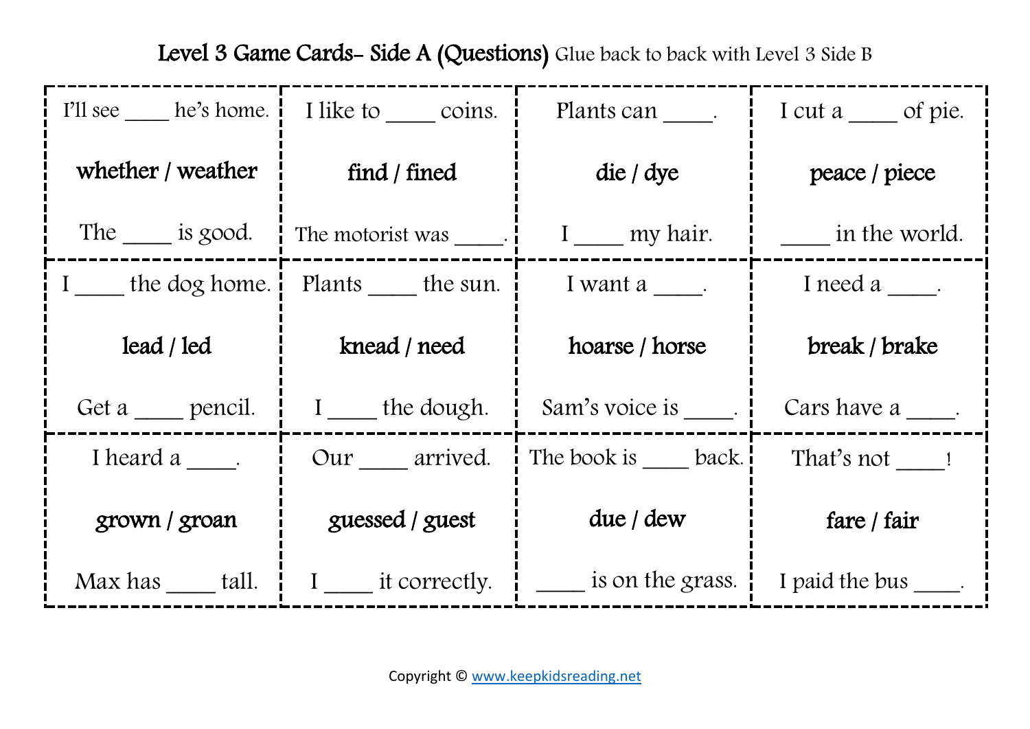| I'll see he's home. | I like to coins.         | Plants can _____.                       | I cut a _____ of pie. |
|---------------------|--------------------------|-----------------------------------------|-----------------------|
| whether / weather   | find / fined             | $\text{die}/\text{dye}$                 | peace / piece         |
| The $\_\_$ is good. | The motorist was ______. | I ____ my hair.                         | in the world.         |
| I the dog home.     | Plants the sun.          | I want a ______.                        | I need a _____.       |
| lead / led          | knead / need             | hoarse / horse                          | break / brake         |
| Get a pencil.       | I the dough.             | Sam's voice is _____.                   | Cars have a fact that |
| I heard a _____.    | Our arrived.             | The book is back.                       | That's not 1          |
| grown / groan       | guessed / guest          | due / dew                               | fare / fair           |
| Max has tall.       | I ____ it correctly.     | $\frac{1}{\sqrt{1-x}}$ is on the grass. | I paid the bus .      |

Level 3 Game Cards- Side A (Questions) Glue back to back with Level 3 Side B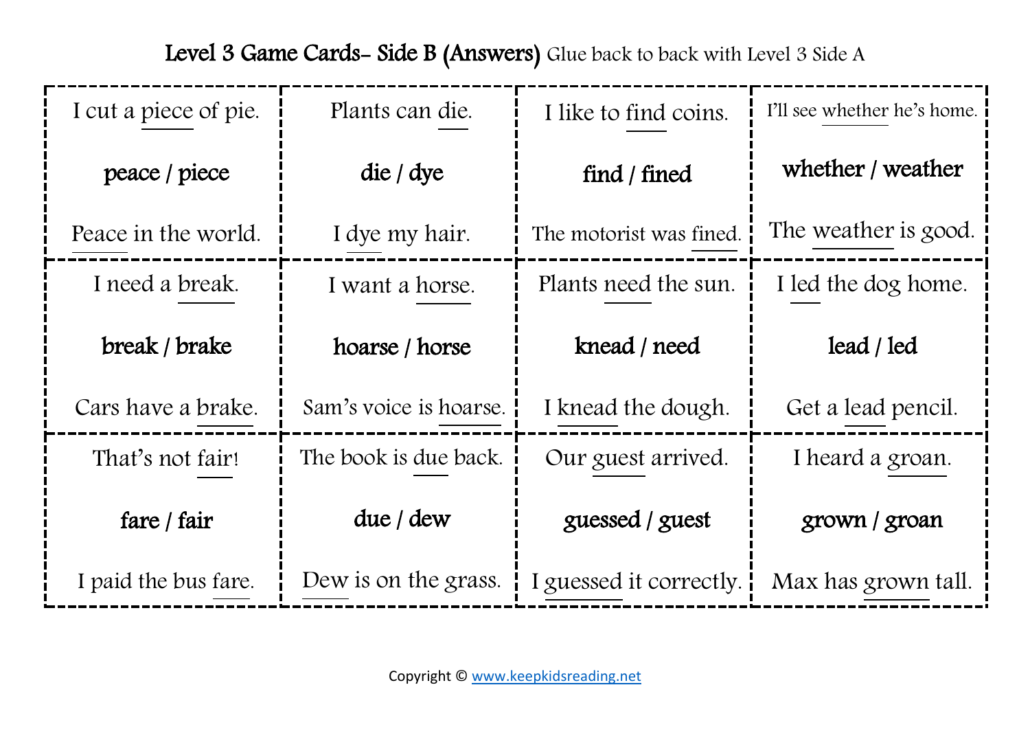| I cut a piece of pie. | Plants can die.        | I like to find coins.   | I'll see whether he's home. |
|-----------------------|------------------------|-------------------------|-----------------------------|
| peace / piece         | die / dye              | find / fined            | whether / weather           |
| Peace in the world.   | I dye my hair.         | The motorist was fined. | The weather is good.        |
| I need a break.       | I want a horse.        | Plants need the sun.    | I led the dog home.         |
| break / brake         | hoarse / horse         | knead / need            | lead / led                  |
| Cars have a brake.    | Sam's voice is hoarse. | I knead the dough.      | Get a lead pencil.          |
| That's not fair!      | The book is due back.  | Our guest arrived.      | I heard a groan.            |
| fare / fair           | due / dew              | guessed / guest         | grown / groan               |
| I paid the bus fare.  | Dew is on the grass.   | I guessed it correctly. | Max has grown tall.         |

Level 3 Game Cards- Side B (Answers) Glue back to back with Level 3 Side A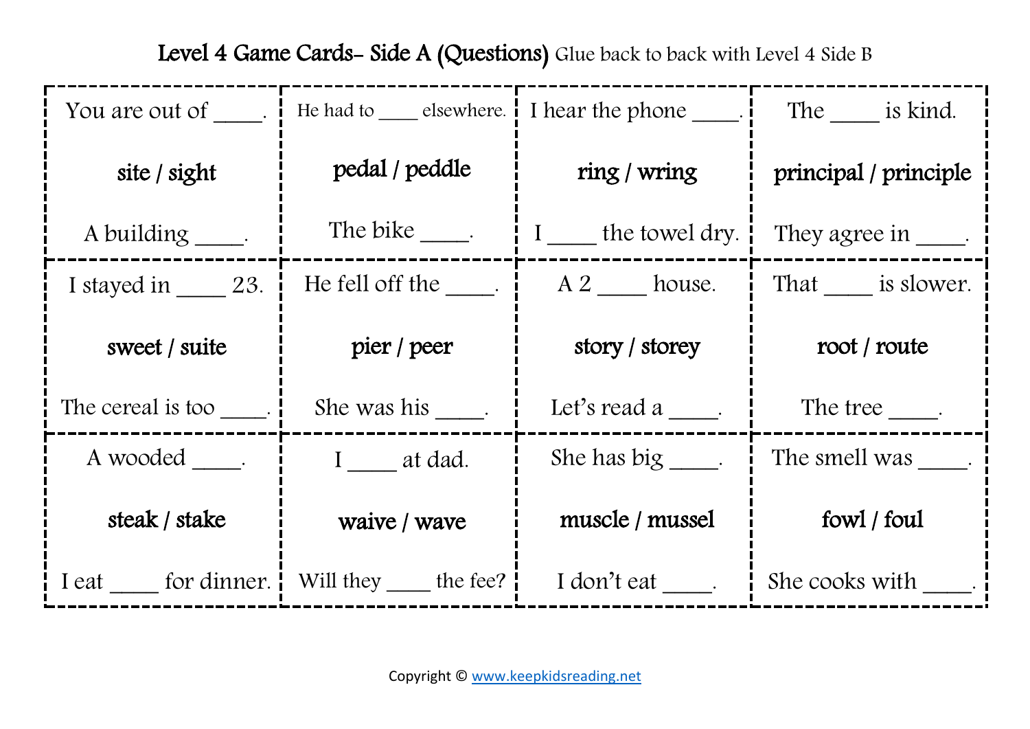|                          | You are out of $\qquad$ . I He had to $\qquad$ elsewhere. I I hear the phone $\qquad$ . |                        | The _____ is kind.       |
|--------------------------|-----------------------------------------------------------------------------------------|------------------------|--------------------------|
| site / sight             | pedal / peddle                                                                          | ring / wring           | principal / principle    |
| A building _____.        | The bike ______.                                                                        | I the towel dry.       | They agree in $\qquad$ . |
| I stayed in $\_\_$ 23.   | He fell off the $\_\_$ .                                                                | A 2 house.             | That is slower.          |
| sweet / suite            | pier / peer                                                                             | story / storey         | root / route             |
| The cereal is too _____. | She was his .                                                                           | Let's read a           | The tree $\_\_$ .        |
| A wooded .               | I at dad.                                                                               | She has big $\qquad$ . | The smell was            |
| steak / stake            | waive / wave                                                                            | muscle / mussel        | fowl / foul              |
|                          | I eat for dinner. Will they the fee?                                                    | I don't eat ____.      | She cooks with .         |

Level 4 Game Cards- Side A (Questions) Glue back to back with Level 4 Side B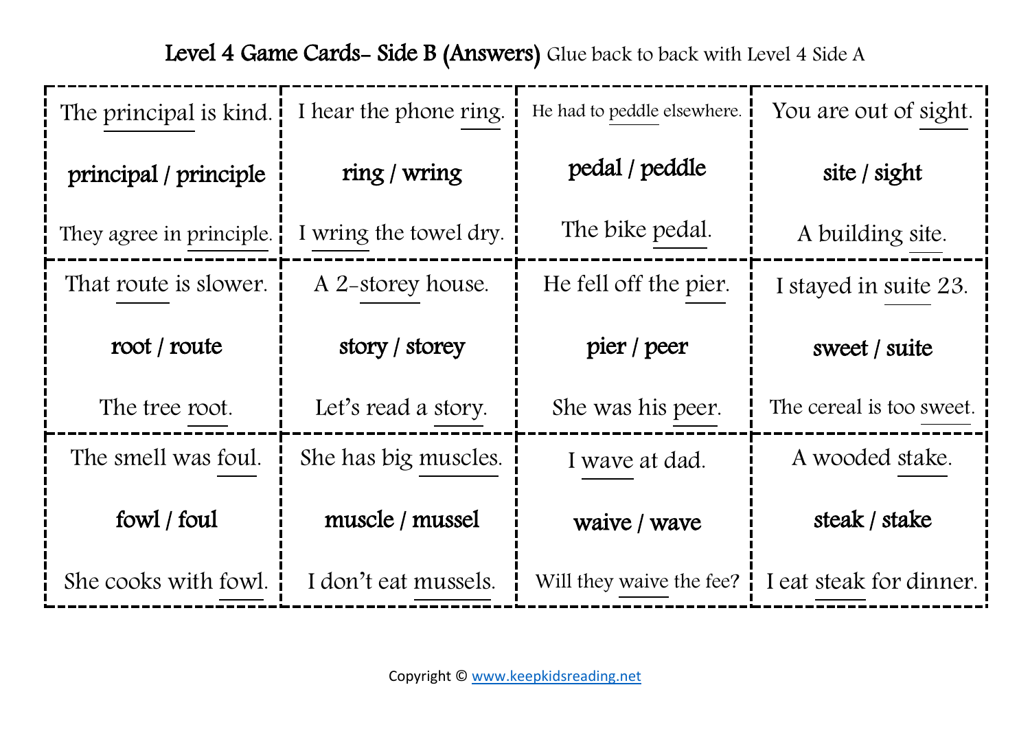| The principal is kind.   | I hear the phone ring. | He had to peddle elsewhere. | You are out of sight.                                        |
|--------------------------|------------------------|-----------------------------|--------------------------------------------------------------|
| principal / principle    | ring / wring           | pedal / peddle              | site / sight                                                 |
| They agree in principle. | I wring the towel dry. | The bike pedal.             | A building site.                                             |
| That route is slower.    | A 2-storey house.      | He fell off the pier.       | I stayed in suite 23.                                        |
| root / route             | story / storey         | pier / peer                 | sweet / suite                                                |
| The tree root.           | Let's read a story.    | She was his peer.           | The cereal is too sweet.                                     |
| The smell was foul.      | She has big muscles.   | I wave at dad.              | A wooded stake.                                              |
| fowl / foul              | muscle / mussel        | waive / wave                | steak / stake                                                |
| She cooks with fowl.     | I don't eat mussels.   |                             | Will they waive the fee? $\parallel$ I eat steak for dinner. |

Level 4 Game Cards- Side B (Answers) Glue back to back with Level 4 Side A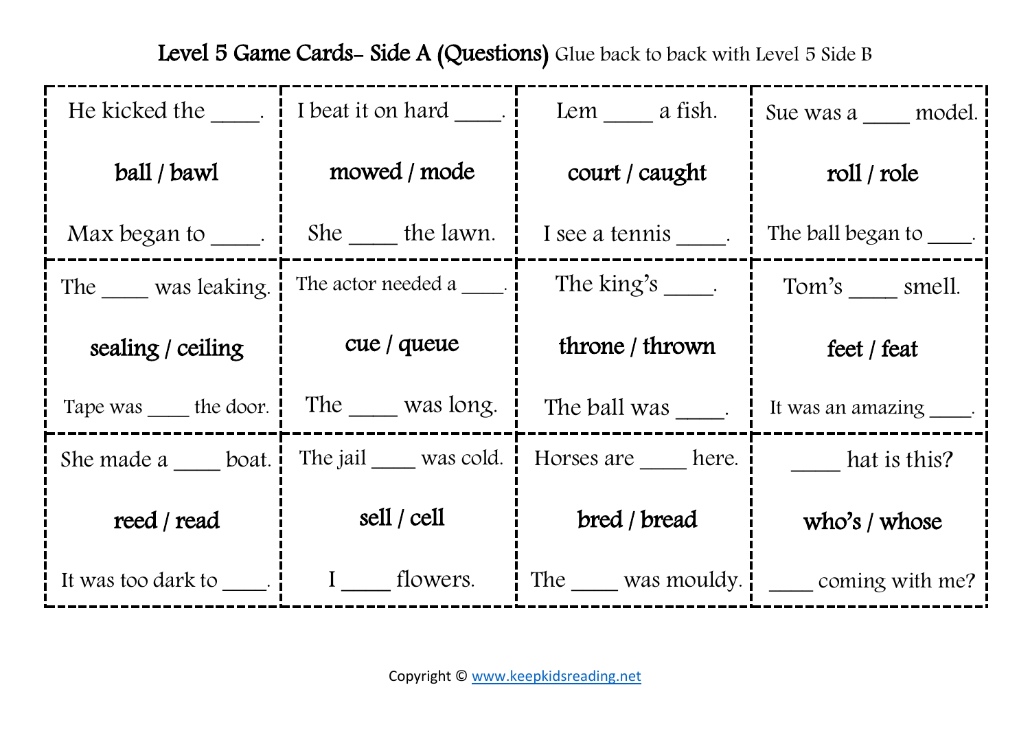| He kicked the Theorem          | $\frac{1}{2}$ I beat it on hard _____.              | Lem a fish.                             | Sue was a model.                            |
|--------------------------------|-----------------------------------------------------|-----------------------------------------|---------------------------------------------|
| ball / bawl                    | mowed / mode                                        | court / caught                          | roll / role                                 |
|                                | Max began to $\_\_\_\$ . $\ $ She $\_\_\$ the lawn. | I see a tennis .                        | The ball began to The ball began            |
| The was leaking.               | The actor needed $a \_\_\_\$ .                      | The king's $\_\_$ .                     | Tom's smell.                                |
| sealing / ceiling              | cue / queue                                         | throne / thrown                         | feet / feat                                 |
| Tape was _____ the door.       | The was long.                                       |                                         | The ball was [11]. It was an amazing _____. |
| She made a ____ boat.          | The jail was cold.                                  | Horses are here.<br><b>hat is this?</b> |                                             |
| reed / read                    | sell / cell                                         | bred / bread                            | who's $/$ whose                             |
| It was too dark to $\_\_\_\$ . | I __ flowers.                                       |                                         | The was mouldy. $\Box$ coming with me?      |

Level 5 Game Cards- Side A (Questions) Glue back to back with Level 5 Side B